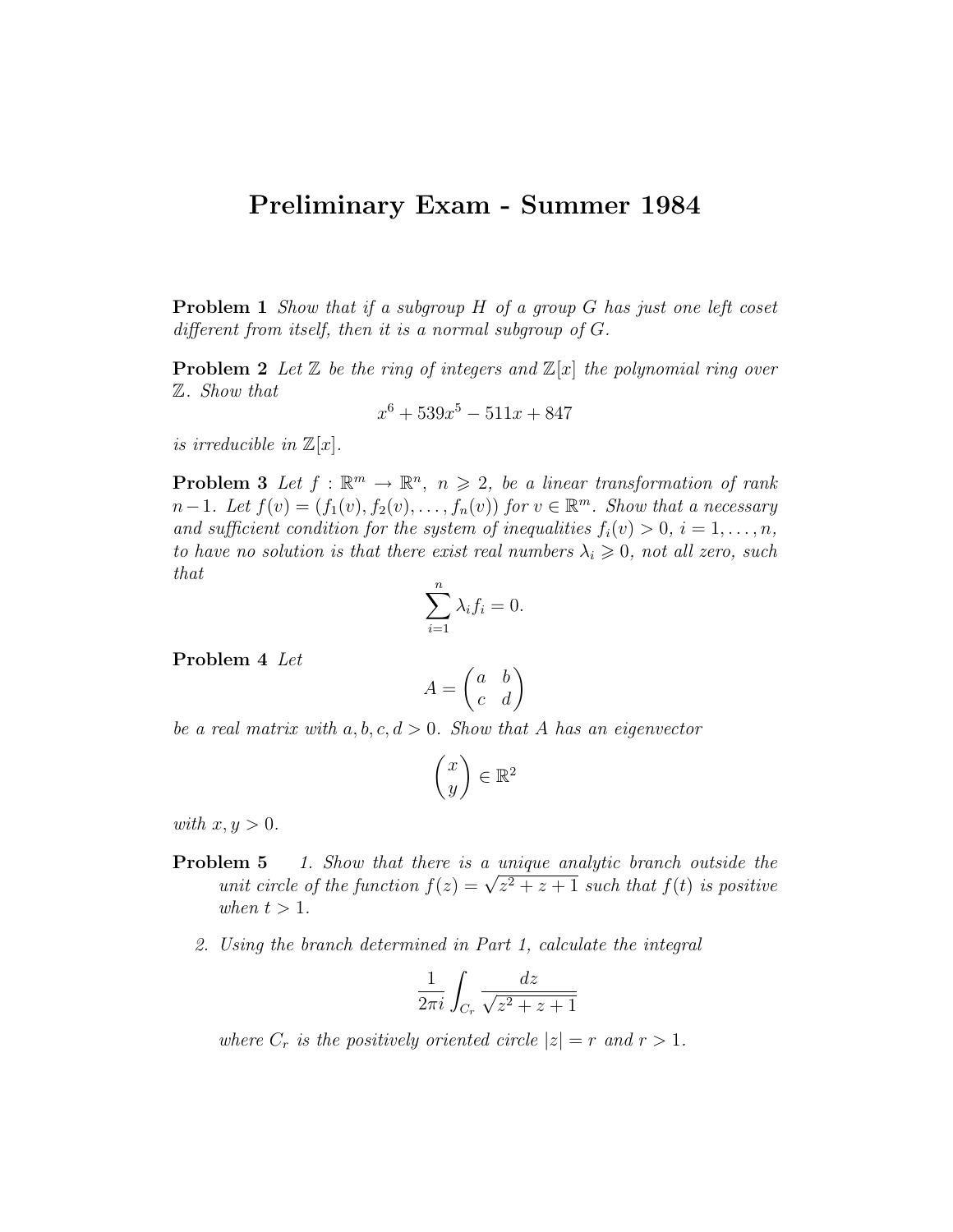## Preliminary Exam - Summer 1984

**Problem 1** Show that if a subgroup H of a group G has just one left coset different from itself, then it is a normal subgroup of G.

**Problem 2** Let  $\mathbb{Z}$  be the ring of integers and  $\mathbb{Z}[x]$  the polynomial ring over Z. Show that

$$
x^6 + 539x^5 - 511x + 847
$$

is irreducible in  $\mathbb{Z}[x]$ .

**Problem 3** Let  $f : \mathbb{R}^m \to \mathbb{R}^n$ ,  $n \geq 2$ , be a linear transformation of rank  $n-1$ . Let  $f(v) = (f_1(v), f_2(v), \ldots, f_n(v))$  for  $v \in \mathbb{R}^m$ . Show that a necessary and sufficient condition for the system of inequalities  $f_i(v) > 0, i = 1, \ldots, n$ , to have no solution is that there exist real numbers  $\lambda_i \geqslant 0$ , not all zero, such that

$$
\sum_{i=1}^{n} \lambda_i f_i = 0.
$$

Problem 4 Let

$$
A = \begin{pmatrix} a & b \\ c & d \end{pmatrix}
$$

be a real matrix with  $a, b, c, d > 0$ . Show that A has an eigenvector

$$
\begin{pmatrix} x \\ y \end{pmatrix} \in \mathbb{R}^2
$$

with  $x, y > 0$ .

- **Problem 5** 1. Show that there is a unique analytic branch outside the **EXECUTE:** 1. Show that there is a unique analytic oranch outside the unit circle of the function  $f(z) = \sqrt{z^2 + z + 1}$  such that  $f(t)$  is positive when  $t > 1$ .
	- 2. Using the branch determined in Part 1, calculate the integral

$$
\frac{1}{2\pi i} \int_{C_r} \frac{dz}{\sqrt{z^2 + z + 1}}
$$

where  $C_r$  is the positively oriented circle  $|z| = r$  and  $r > 1$ .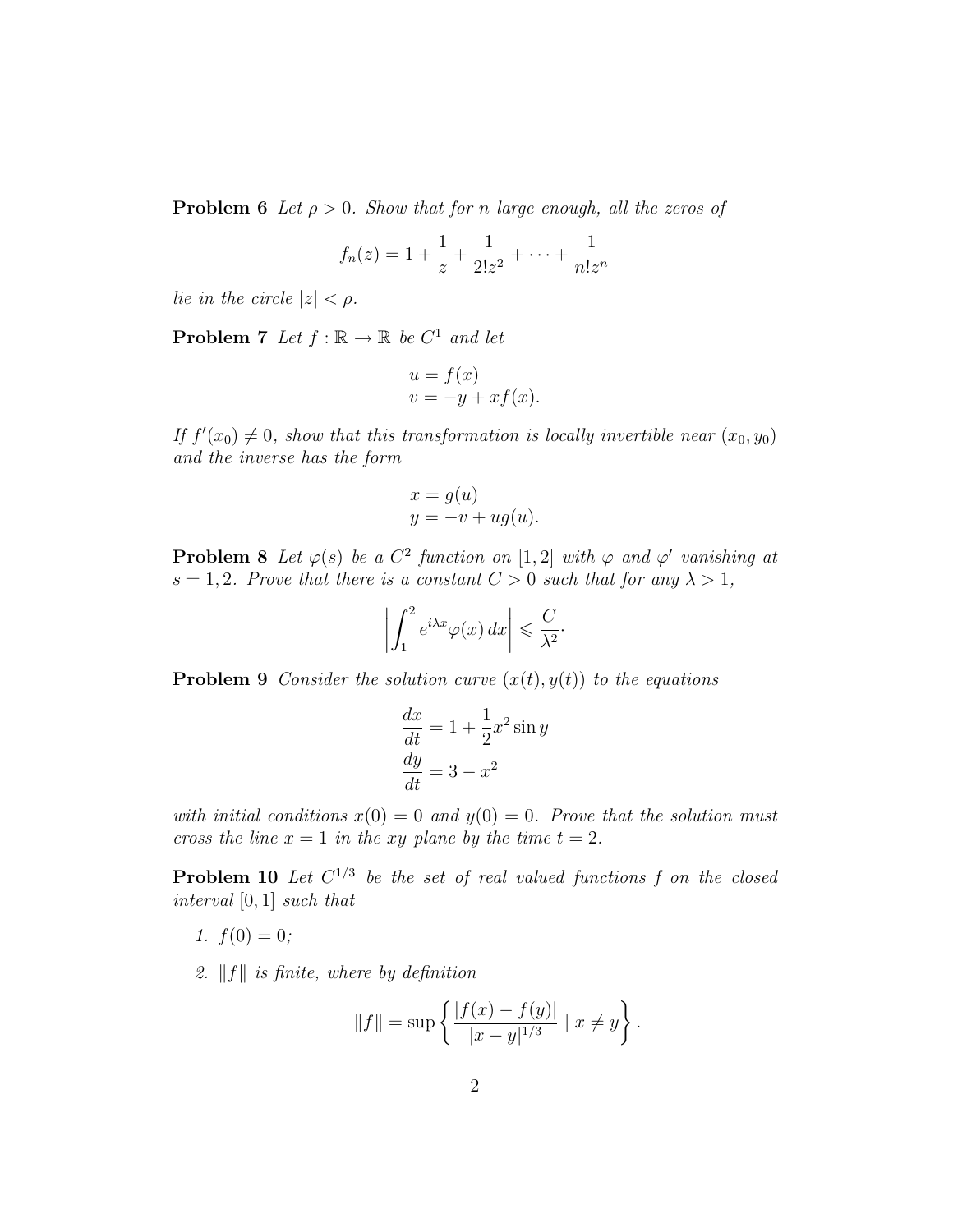**Problem 6** Let  $\rho > 0$ . Show that for n large enough, all the zeros of

$$
f_n(z) = 1 + \frac{1}{z} + \frac{1}{2!z^2} + \dots + \frac{1}{n!z^n}
$$

lie in the circle  $|z| < \rho$ .

**Problem 7** Let  $f : \mathbb{R} \to \mathbb{R}$  be  $C^1$  and let

$$
u = f(x)
$$
  

$$
v = -y + xf(x).
$$

If  $f'(x_0) \neq 0$ , show that this transformation is locally invertible near  $(x_0, y_0)$ and the inverse has the form

$$
x = g(u)
$$
  

$$
y = -v + ug(u).
$$

**Problem 8** Let  $\varphi(s)$  be a  $C^2$  function on [1,2] with  $\varphi$  and  $\varphi'$  vanishing at  $s = 1, 2$ . Prove that there is a constant  $C > 0$  such that for any  $\lambda > 1$ ,

$$
\left| \int_{1}^{2} e^{i\lambda x} \varphi(x) \, dx \right| \leqslant \frac{C}{\lambda^2}.
$$

**Problem 9** Consider the solution curve  $(x(t), y(t))$  to the equations

$$
\frac{dx}{dt} = 1 + \frac{1}{2}x^2 \sin y
$$

$$
\frac{dy}{dt} = 3 - x^2
$$

with initial conditions  $x(0) = 0$  and  $y(0) = 0$ . Prove that the solution must cross the line  $x = 1$  in the xy plane by the time  $t = 2$ .

**Problem 10** Let  $C^{1/3}$  be the set of real valued functions f on the closed interval [0, 1] such that

- 1.  $f(0) = 0$ ;
- 2.  $||f||$  is finite, where by definition

$$
||f|| = \sup \left\{ \frac{|f(x) - f(y)|}{|x - y|^{1/3}} \mid x \neq y \right\}.
$$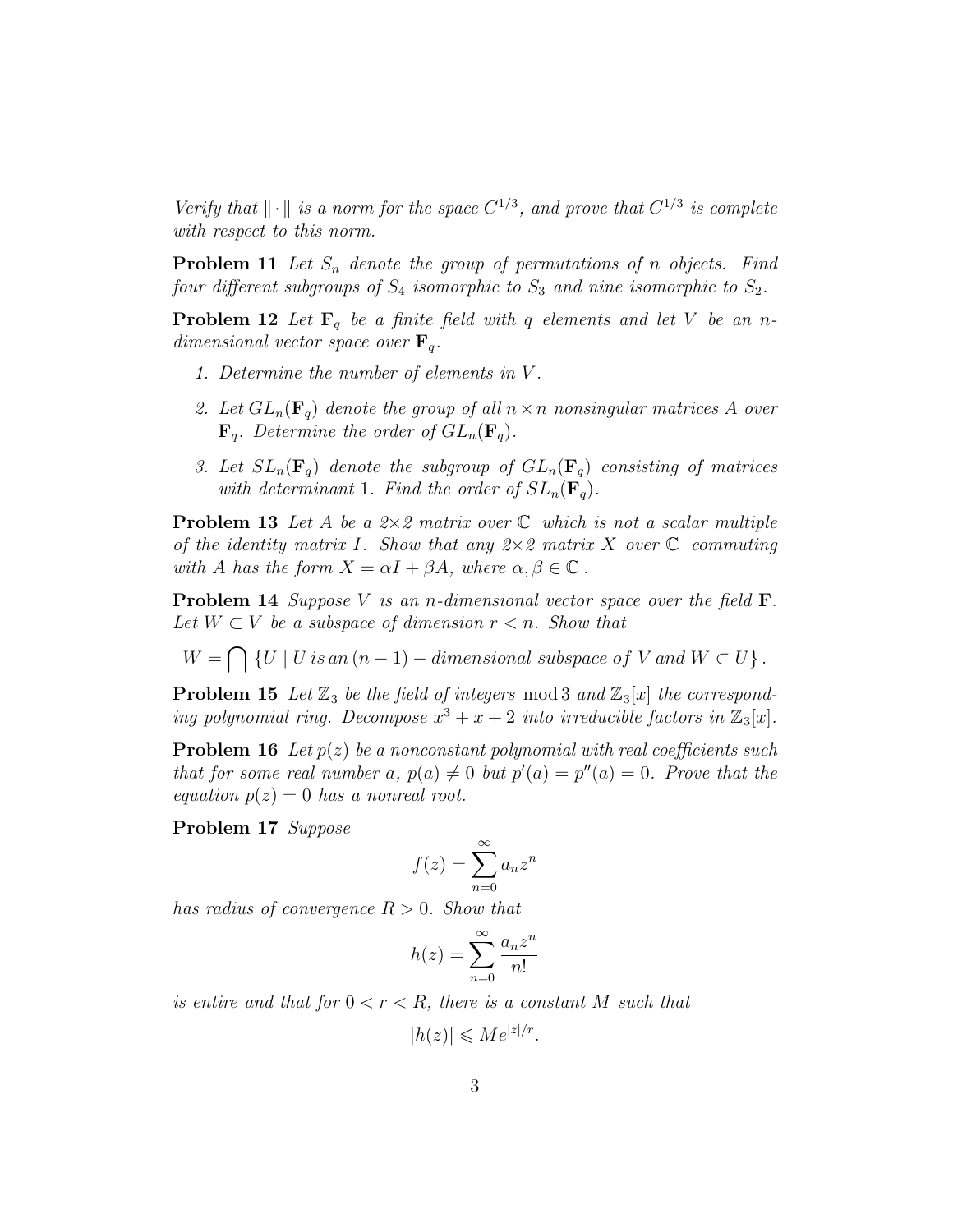Verify that  $\|\cdot\|$  is a norm for the space  $C^{1/3}$ , and prove that  $C^{1/3}$  is complete with respect to this norm.

**Problem 11** Let  $S_n$  denote the group of permutations of n objects. Find four different subgroups of  $S_4$  isomorphic to  $S_3$  and nine isomorphic to  $S_2$ .

**Problem 12** Let  $\mathbf{F}_q$  be a finite field with q elements and let V be an ndimensional vector space over  $\mathbf{F}_q$ .

- 1. Determine the number of elements in V .
- 2. Let  $GL_n(\mathbf{F}_q)$  denote the group of all  $n \times n$  nonsingular matrices A over  $\mathbf{F}_q$ . Determine the order of  $GL_n(\mathbf{F}_q)$ .
- 3. Let  $SL_n(\mathbf{F}_q)$  denote the subgroup of  $GL_n(\mathbf{F}_q)$  consisting of matrices with determinant 1. Find the order of  $SL_n(\mathbf{F}_q)$ .

**Problem 13** Let A be a  $2\times 2$  matrix over  $\mathbb C$  which is not a scalar multiple of the identity matrix I. Show that any  $2 \times 2$  matrix X over  $\mathbb C$  commuting with A has the form  $X = \alpha I + \beta A$ , where  $\alpha, \beta \in \mathbb{C}$ .

**Problem 14** Suppose V is an n-dimensional vector space over the field  $\mathbf{F}$ . Let  $W \subset V$  be a subspace of dimension  $r < n$ . Show that

 $W = \bigcap \{U \mid U \text{ is an } (n-1) - \text{dimensional subspace of } V \text{ and } W \subset U\}.$ 

**Problem 15** Let  $\mathbb{Z}_3$  be the field of integers mod 3 and  $\mathbb{Z}_3[x]$  the corresponding polynomial ring. Decompose  $x^3 + x + 2$  into irreducible factors in  $\mathbb{Z}_3[x]$ .

**Problem 16** Let  $p(z)$  be a nonconstant polynomial with real coefficients such that for some real number a,  $p(a) \neq 0$  but  $p'(a) = p''(a) = 0$ . Prove that the equation  $p(z) = 0$  has a nonreal root.

Problem 17 Suppose

$$
f(z) = \sum_{n=0}^{\infty} a_n z^n
$$

has radius of convergence  $R > 0$ . Show that

$$
h(z) = \sum_{n=0}^{\infty} \frac{a_n z^n}{n!}
$$

is entire and that for  $0 < r < R$ , there is a constant M such that

$$
|h(z)| \leqslant Me^{|z|/r}.
$$